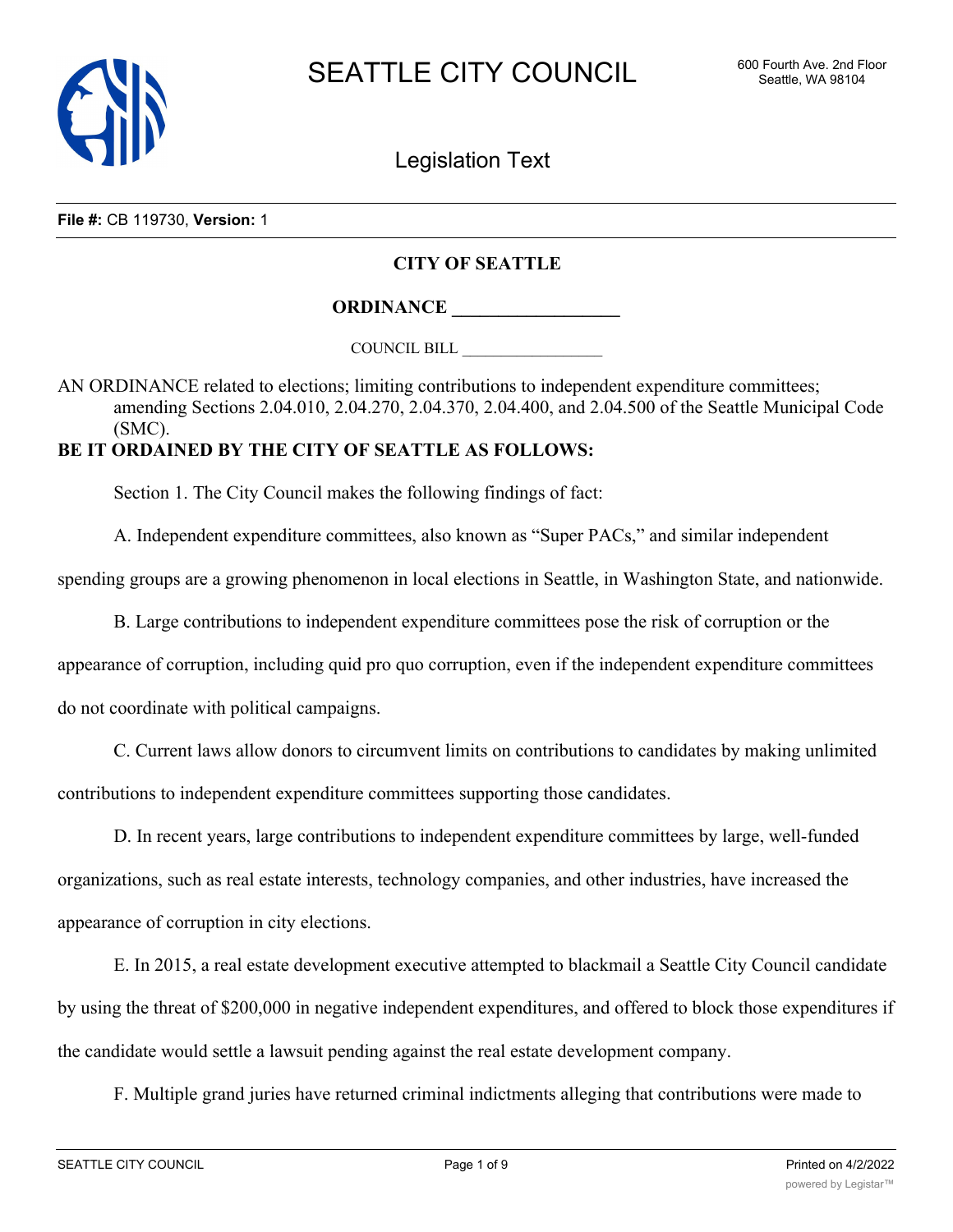

Legislation Text

**File #:** CB 119730, **Version:** 1

## **CITY OF SEATTLE**

**ORDINANCE \_\_\_\_\_\_\_\_\_\_\_\_\_\_\_\_\_\_**

COUNCIL BILL \_\_\_\_\_\_\_\_\_\_\_\_\_\_\_\_\_\_

AN ORDINANCE related to elections; limiting contributions to independent expenditure committees; amending Sections 2.04.010, 2.04.270, 2.04.370, 2.04.400, and 2.04.500 of the Seattle Municipal Code (SMC).

## **BE IT ORDAINED BY THE CITY OF SEATTLE AS FOLLOWS:**

Section 1. The City Council makes the following findings of fact:

A. Independent expenditure committees, also known as "Super PACs," and similar independent

spending groups are a growing phenomenon in local elections in Seattle, in Washington State, and nationwide.

B. Large contributions to independent expenditure committees pose the risk of corruption or the

appearance of corruption, including quid pro quo corruption, even if the independent expenditure committees

do not coordinate with political campaigns.

C. Current laws allow donors to circumvent limits on contributions to candidates by making unlimited contributions to independent expenditure committees supporting those candidates.

D. In recent years, large contributions to independent expenditure committees by large, well-funded organizations, such as real estate interests, technology companies, and other industries, have increased the appearance of corruption in city elections.

E. In 2015, a real estate development executive attempted to blackmail a Seattle City Council candidate by using the threat of \$200,000 in negative independent expenditures, and offered to block those expenditures if the candidate would settle a lawsuit pending against the real estate development company.

F. Multiple grand juries have returned criminal indictments alleging that contributions were made to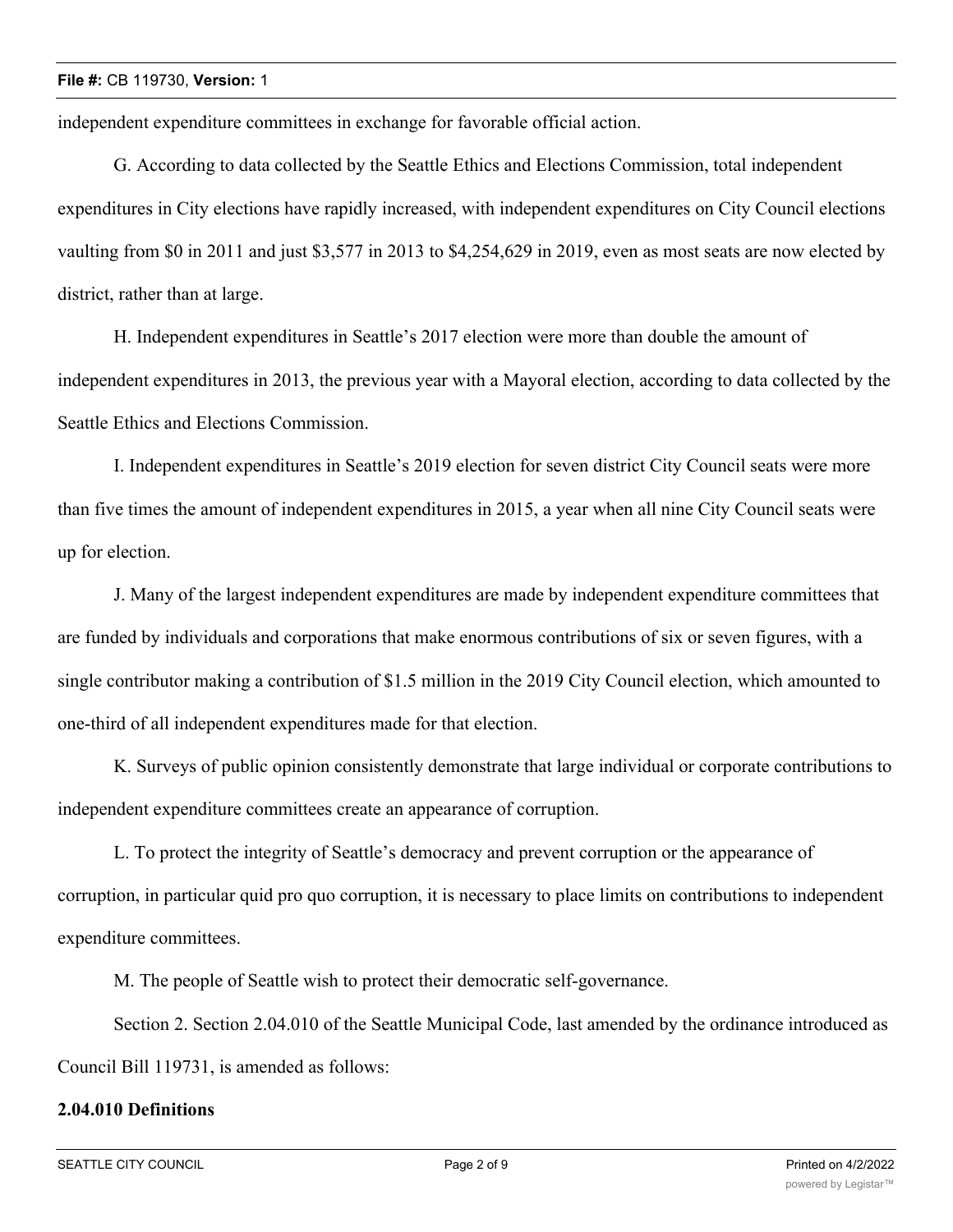independent expenditure committees in exchange for favorable official action.

G. According to data collected by the Seattle Ethics and Elections Commission, total independent expenditures in City elections have rapidly increased, with independent expenditures on City Council elections vaulting from \$0 in 2011 and just \$3,577 in 2013 to \$4,254,629 in 2019, even as most seats are now elected by district, rather than at large.

H. Independent expenditures in Seattle's 2017 election were more than double the amount of independent expenditures in 2013, the previous year with a Mayoral election, according to data collected by the Seattle Ethics and Elections Commission.

I. Independent expenditures in Seattle's 2019 election for seven district City Council seats were more than five times the amount of independent expenditures in 2015, a year when all nine City Council seats were up for election.

J. Many of the largest independent expenditures are made by independent expenditure committees that are funded by individuals and corporations that make enormous contributions of six or seven figures, with a single contributor making a contribution of \$1.5 million in the 2019 City Council election, which amounted to one-third of all independent expenditures made for that election.

K. Surveys of public opinion consistently demonstrate that large individual or corporate contributions to independent expenditure committees create an appearance of corruption.

L. To protect the integrity of Seattle's democracy and prevent corruption or the appearance of corruption, in particular quid pro quo corruption, it is necessary to place limits on contributions to independent expenditure committees.

M. The people of Seattle wish to protect their democratic self-governance.

Section 2. Section 2.04.010 of the Seattle Municipal Code, last amended by the ordinance introduced as Council Bill 119731, is amended as follows:

# **2.04.010 Definitions**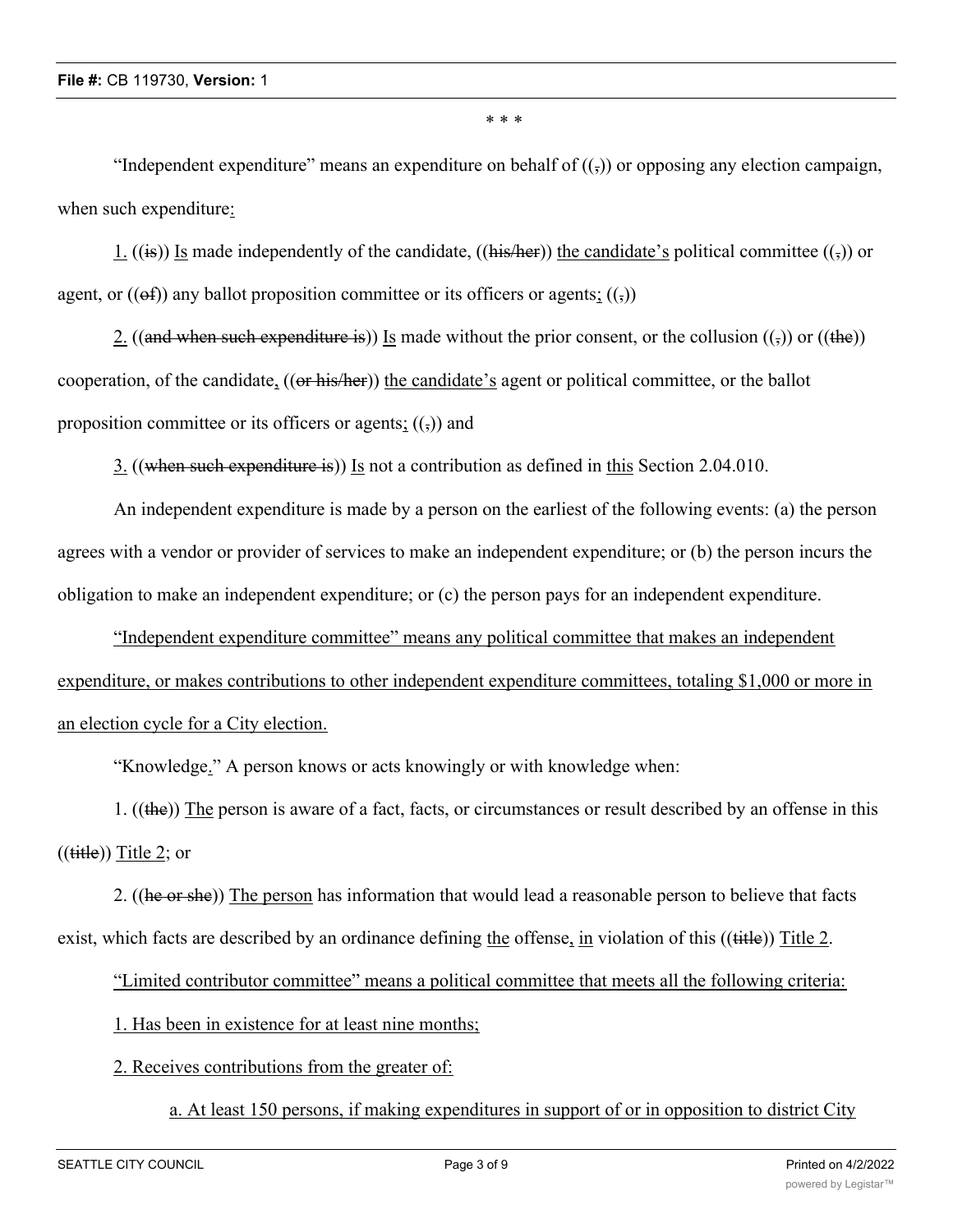\* \* \*

"Independent expenditure" means an expenditure on behalf of  $((\tau))$  or opposing any election campaign, when such expenditure:

1. ((is)) Is made independently of the candidate, ((his/her)) the candidate's political committee (( $\frac{1}{2}$ ) or agent, or  $((ef))$  any ballot proposition committee or its officers or agents;  $((,))$ 

2. ((and when such expenditure is)) Is made without the prior consent, or the collusion  $((\tau))$  or ((the)) cooperation, of the candidate, ((or his/her)) the candidate's agent or political committee, or the ballot proposition committee or its officers or agents;  $((\tau))$  and

3. ((when such expenditure is)) Is not a contribution as defined in this Section 2.04.010.

An independent expenditure is made by a person on the earliest of the following events: (a) the person agrees with a vendor or provider of services to make an independent expenditure; or (b) the person incurs the obligation to make an independent expenditure; or (c) the person pays for an independent expenditure.

"Independent expenditure committee" means any political committee that makes an independent expenditure, or makes contributions to other independent expenditure committees, totaling \$1,000 or more in an election cycle for a City election.

"Knowledge." A person knows or acts knowingly or with knowledge when:

1. ((the)) The person is aware of a fact, facts, or circumstances or result described by an offense in this  $((\text{title})$ ) Title 2; or

2. ((he or she)) The person has information that would lead a reasonable person to believe that facts exist, which facts are described by an ordinance defining the offense, in violation of this ((title)) Title 2.

"Limited contributor committee" means a political committee that meets all the following criteria:

1. Has been in existence for at least nine months;

### 2. Receives contributions from the greater of:

a. At least 150 persons, if making expenditures in support of or in opposition to district City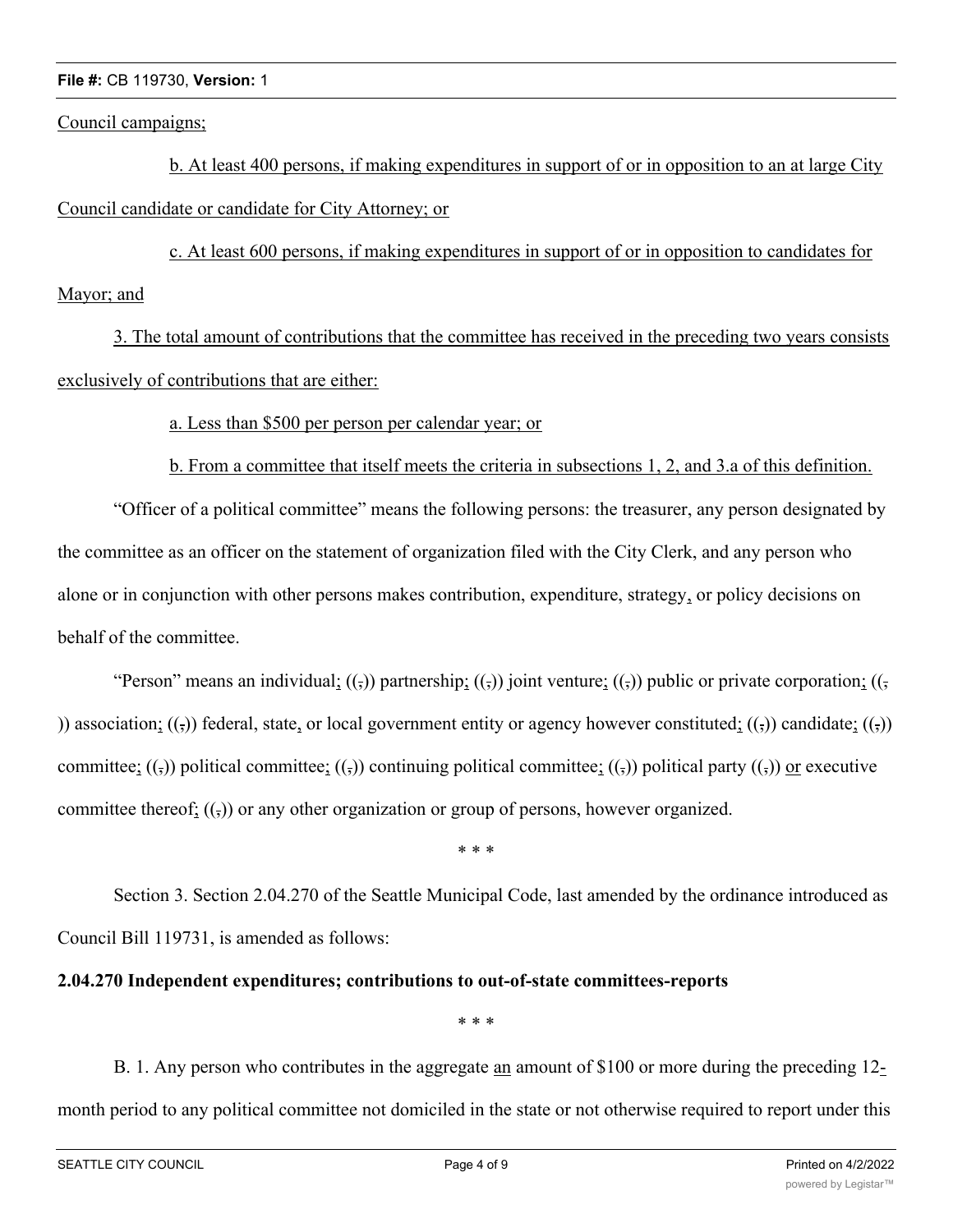#### **File #:** CB 119730, **Version:** 1

Council campaigns;

b. At least 400 persons, if making expenditures in support of or in opposition to an at large City Council candidate or candidate for City Attorney; or

c. At least 600 persons, if making expenditures in support of or in opposition to candidates for Mayor; and

3. The total amount of contributions that the committee has received in the preceding two years consists exclusively of contributions that are either:

### a. Less than \$500 per person per calendar year; or

b. From a committee that itself meets the criteria in subsections 1, 2, and 3.a of this definition.

"Officer of a political committee" means the following persons: the treasurer, any person designated by the committee as an officer on the statement of organization filed with the City Clerk, and any person who alone or in conjunction with other persons makes contribution, expenditure, strategy, or policy decisions on behalf of the committee.

"Person" means an individual;  $((\tau)$ ) partnership;  $((\tau)$ ) joint venture;  $((\tau)$ ) public or private corporation;  $((\tau)$ )) association;  $((\tau))$  federal, state, or local government entity or agency however constituted;  $((\tau))$  candidate;  $((\tau))$ committee;  $((,))$  political committee;  $((,))$  continuing political committee;  $((,))$  political party  $((,))$  or executive committee thereof;  $((,))$  or any other organization or group of persons, however organized.

\* \* \*

Section 3. Section 2.04.270 of the Seattle Municipal Code, last amended by the ordinance introduced as Council Bill 119731, is amended as follows:

### **2.04.270 Independent expenditures; contributions to out-of-state committees-reports**

\* \* \*

B. 1. Any person who contributes in the aggregate an amount of \$100 or more during the preceding 12 month period to any political committee not domiciled in the state or not otherwise required to report under this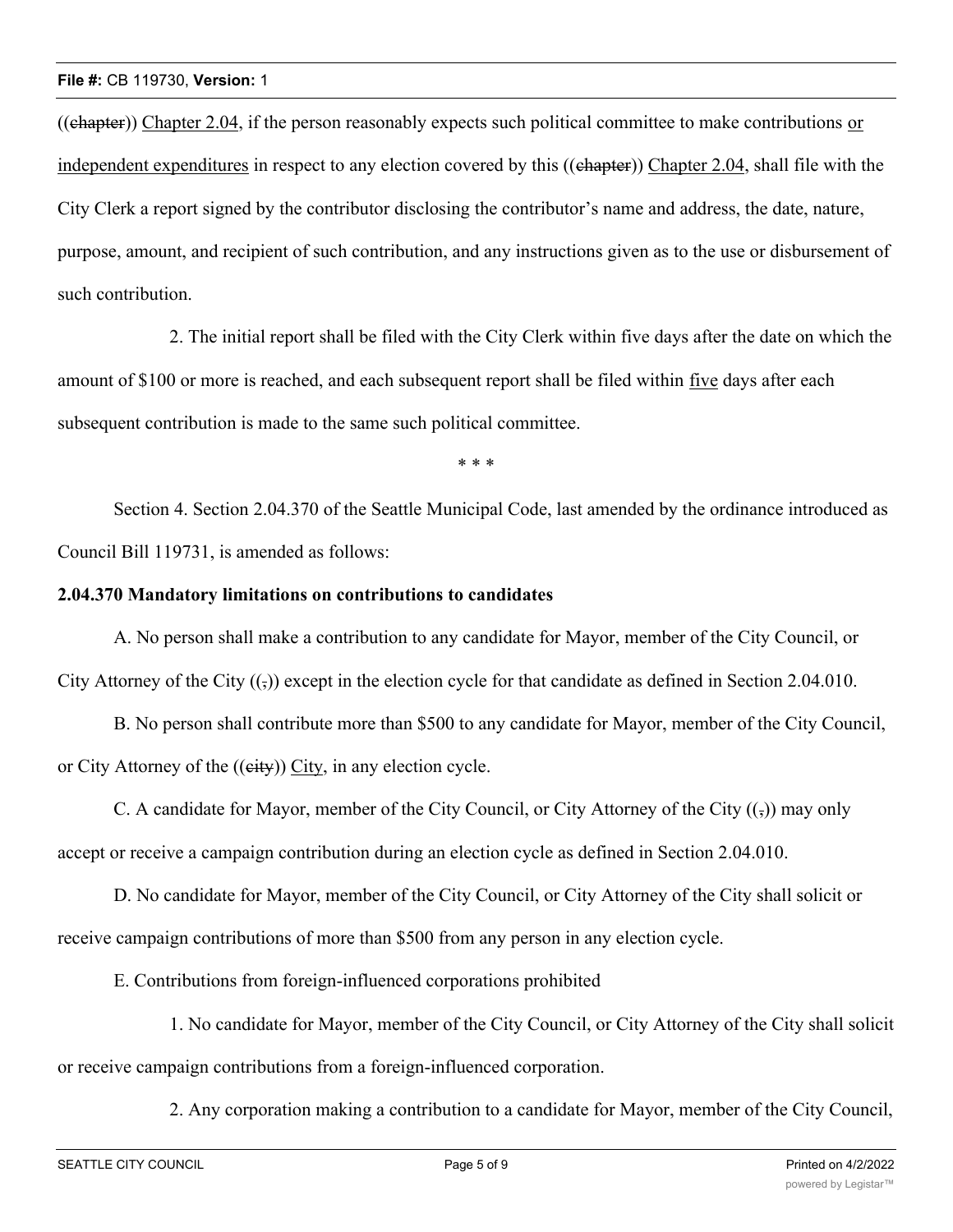((chapter)) Chapter 2.04, if the person reasonably expects such political committee to make contributions or independent expenditures in respect to any election covered by this ((chapter)) Chapter 2.04, shall file with the City Clerk a report signed by the contributor disclosing the contributor's name and address, the date, nature, purpose, amount, and recipient of such contribution, and any instructions given as to the use or disbursement of such contribution.

2. The initial report shall be filed with the City Clerk within five days after the date on which the amount of \$100 or more is reached, and each subsequent report shall be filed within five days after each subsequent contribution is made to the same such political committee.

\* \* \*

Section 4. Section 2.04.370 of the Seattle Municipal Code, last amended by the ordinance introduced as Council Bill 119731, is amended as follows:

#### **2.04.370 Mandatory limitations on contributions to candidates**

A. No person shall make a contribution to any candidate for Mayor, member of the City Council, or City Attorney of the City  $($ <sub>5</sub> $)$ ) except in the election cycle for that candidate as defined in Section 2.04.010.

B. No person shall contribute more than \$500 to any candidate for Mayor, member of the City Council, or City Attorney of the ((eity)) City, in any election cycle.

C. A candidate for Mayor, member of the City Council, or City Attorney of the City  $((\tau))$  may only accept or receive a campaign contribution during an election cycle as defined in Section 2.04.010.

D. No candidate for Mayor, member of the City Council, or City Attorney of the City shall solicit or receive campaign contributions of more than \$500 from any person in any election cycle.

E. Contributions from foreign-influenced corporations prohibited

1. No candidate for Mayor, member of the City Council, or City Attorney of the City shall solicit or receive campaign contributions from a foreign-influenced corporation.

2. Any corporation making a contribution to a candidate for Mayor, member of the City Council,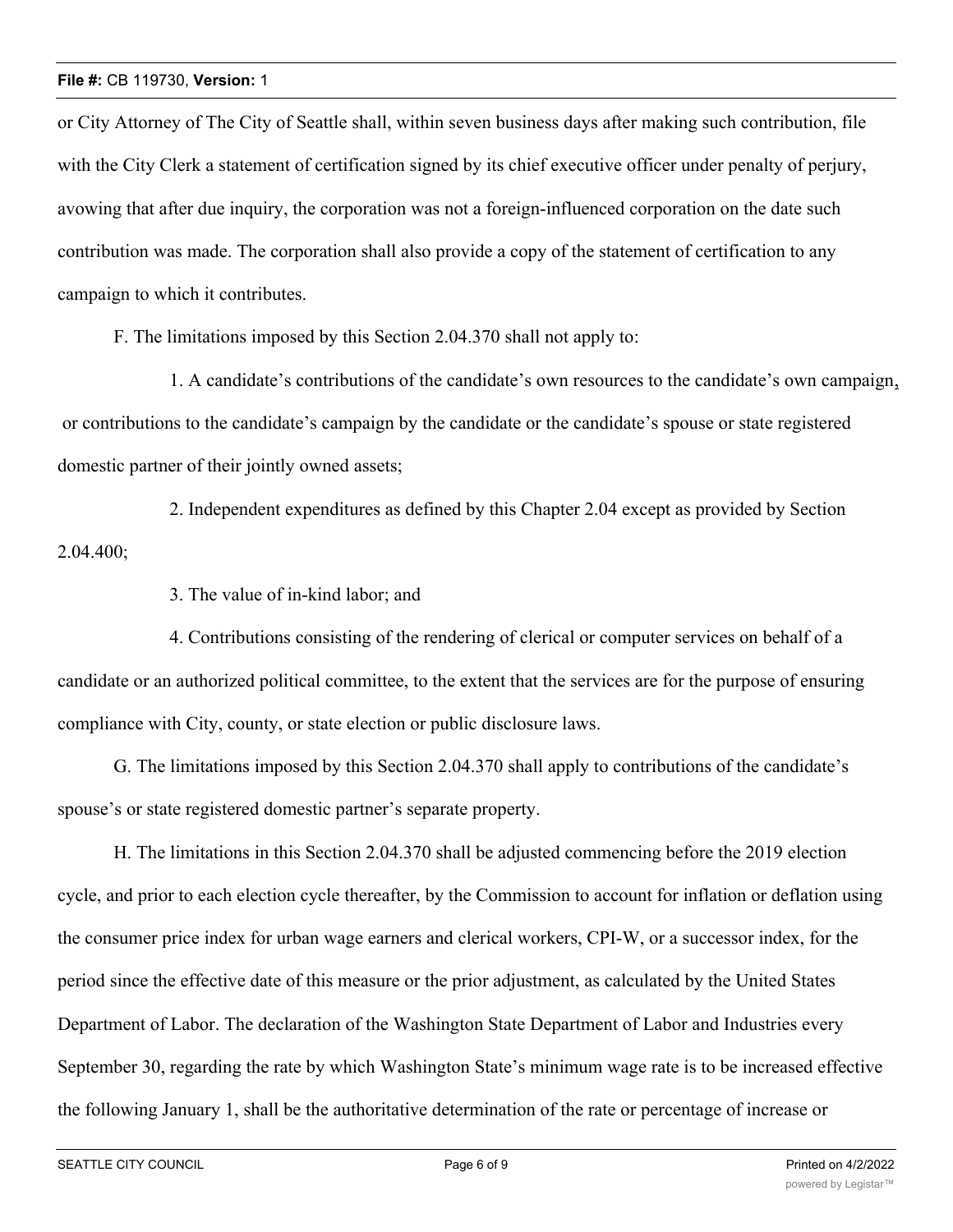#### **File #:** CB 119730, **Version:** 1

or City Attorney of The City of Seattle shall, within seven business days after making such contribution, file with the City Clerk a statement of certification signed by its chief executive officer under penalty of perjury, avowing that after due inquiry, the corporation was not a foreign-influenced corporation on the date such contribution was made. The corporation shall also provide a copy of the statement of certification to any campaign to which it contributes.

F. The limitations imposed by this Section 2.04.370 shall not apply to:

1. A candidate's contributions of the candidate's own resources to the candidate's own campaign, or contributions to the candidate's campaign by the candidate or the candidate's spouse or state registered domestic partner of their jointly owned assets;

2. Independent expenditures as defined by this Chapter 2.04 except as provided by Section 2.04.400;

3. The value of in-kind labor; and

4. Contributions consisting of the rendering of clerical or computer services on behalf of a candidate or an authorized political committee, to the extent that the services are for the purpose of ensuring compliance with City, county, or state election or public disclosure laws.

G. The limitations imposed by this Section 2.04.370 shall apply to contributions of the candidate's spouse's or state registered domestic partner's separate property.

H. The limitations in this Section 2.04.370 shall be adjusted commencing before the 2019 election cycle, and prior to each election cycle thereafter, by the Commission to account for inflation or deflation using the consumer price index for urban wage earners and clerical workers, CPI-W, or a successor index, for the period since the effective date of this measure or the prior adjustment, as calculated by the United States Department of Labor. The declaration of the Washington State Department of Labor and Industries every September 30, regarding the rate by which Washington State's minimum wage rate is to be increased effective the following January 1, shall be the authoritative determination of the rate or percentage of increase or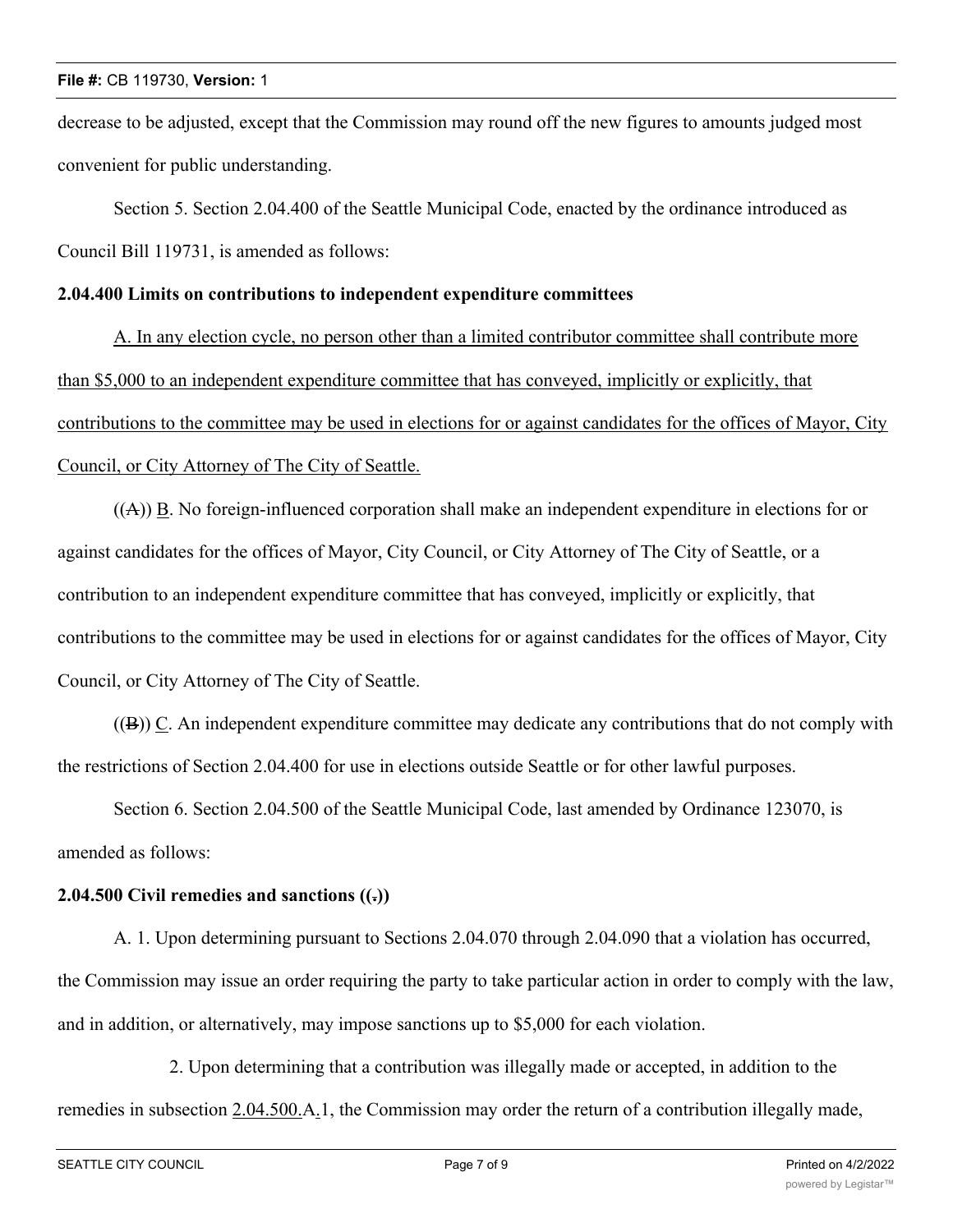#### **File #:** CB 119730, **Version:** 1

decrease to be adjusted, except that the Commission may round off the new figures to amounts judged most convenient for public understanding.

Section 5. Section 2.04.400 of the Seattle Municipal Code, enacted by the ordinance introduced as Council Bill 119731, is amended as follows:

#### **2.04.400 Limits on contributions to independent expenditure committees**

A. In any election cycle, no person other than a limited contributor committee shall contribute more than \$5,000 to an independent expenditure committee that has conveyed, implicitly or explicitly, that contributions to the committee may be used in elections for or against candidates for the offices of Mayor, City Council, or City Attorney of The City of Seattle.

 $((A))$   $\underline{B}$ . No foreign-influenced corporation shall make an independent expenditure in elections for or against candidates for the offices of Mayor, City Council, or City Attorney of The City of Seattle, or a contribution to an independent expenditure committee that has conveyed, implicitly or explicitly, that contributions to the committee may be used in elections for or against candidates for the offices of Mayor, City Council, or City Attorney of The City of Seattle.

((B)) C. An independent expenditure committee may dedicate any contributions that do not comply with the restrictions of Section 2.04.400 for use in elections outside Seattle or for other lawful purposes.

Section 6. Section 2.04.500 of the Seattle Municipal Code, last amended by Ordinance 123070, is amended as follows:

# **2.04.500 Civil remedies and sanctions ((.))**

A. 1. Upon determining pursuant to Sections 2.04.070 through 2.04.090 that a violation has occurred, the Commission may issue an order requiring the party to take particular action in order to comply with the law, and in addition, or alternatively, may impose sanctions up to \$5,000 for each violation.

2. Upon determining that a contribution was illegally made or accepted, in addition to the remedies in subsection 2.04.500.A.1, the Commission may order the return of a contribution illegally made,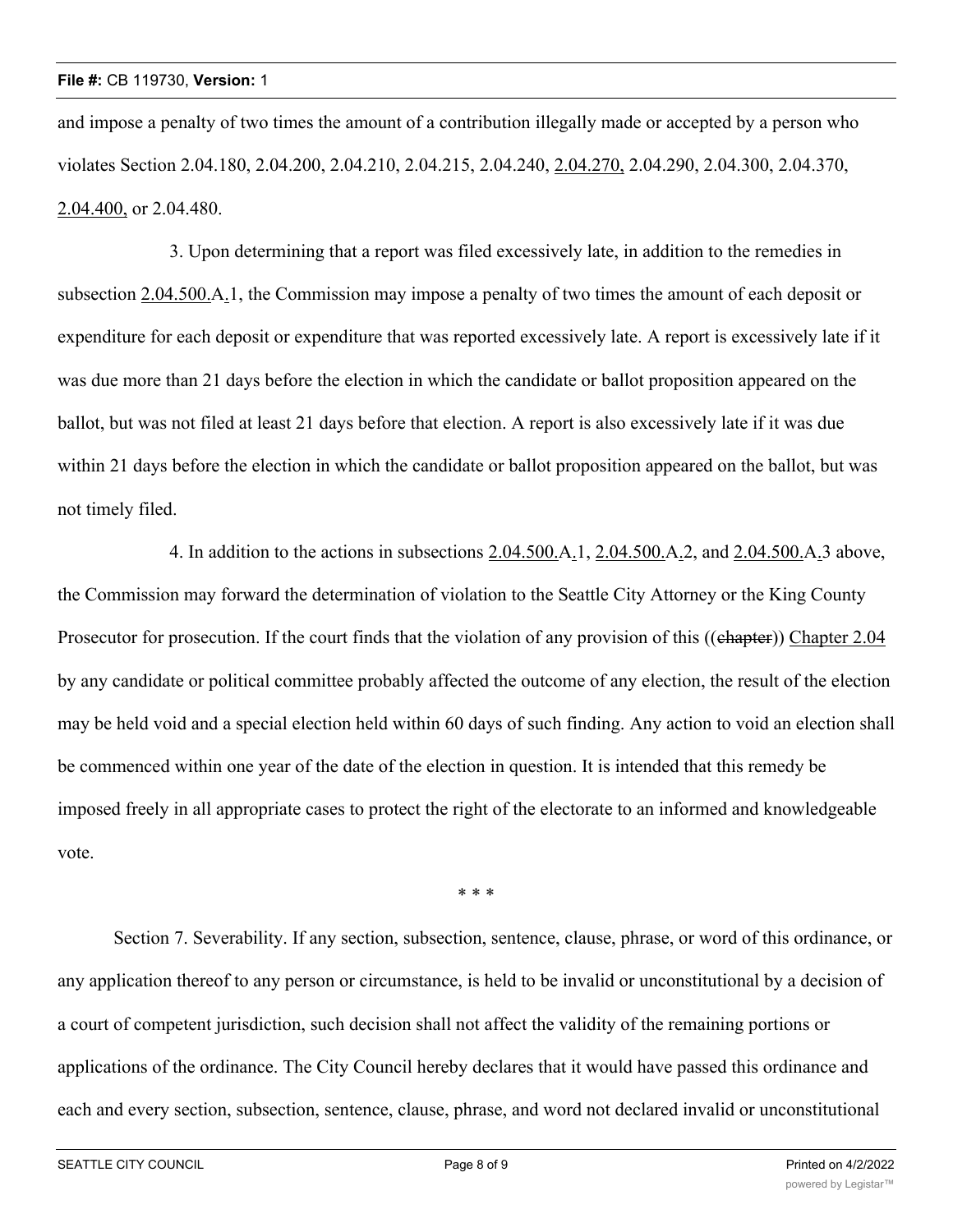and impose a penalty of two times the amount of a contribution illegally made or accepted by a person who violates Section 2.04.180, 2.04.200, 2.04.210, 2.04.215, 2.04.240, 2.04.270, 2.04.290, 2.04.300, 2.04.370, 2.04.400, or 2.04.480.

3. Upon determining that a report was filed excessively late, in addition to the remedies in subsection 2.04.500.A.1, the Commission may impose a penalty of two times the amount of each deposit or expenditure for each deposit or expenditure that was reported excessively late. A report is excessively late if it was due more than 21 days before the election in which the candidate or ballot proposition appeared on the ballot, but was not filed at least 21 days before that election. A report is also excessively late if it was due within 21 days before the election in which the candidate or ballot proposition appeared on the ballot, but was not timely filed.

4. In addition to the actions in subsections 2.04.500.A.1, 2.04.500.A.2, and 2.04.500.A.3 above, the Commission may forward the determination of violation to the Seattle City Attorney or the King County Prosecutor for prosecution. If the court finds that the violation of any provision of this ((chapter)) Chapter 2.04 by any candidate or political committee probably affected the outcome of any election, the result of the election may be held void and a special election held within 60 days of such finding. Any action to void an election shall be commenced within one year of the date of the election in question. It is intended that this remedy be imposed freely in all appropriate cases to protect the right of the electorate to an informed and knowledgeable vote.

\* \* \*

Section 7. Severability. If any section, subsection, sentence, clause, phrase, or word of this ordinance, or any application thereof to any person or circumstance, is held to be invalid or unconstitutional by a decision of a court of competent jurisdiction, such decision shall not affect the validity of the remaining portions or applications of the ordinance. The City Council hereby declares that it would have passed this ordinance and each and every section, subsection, sentence, clause, phrase, and word not declared invalid or unconstitutional